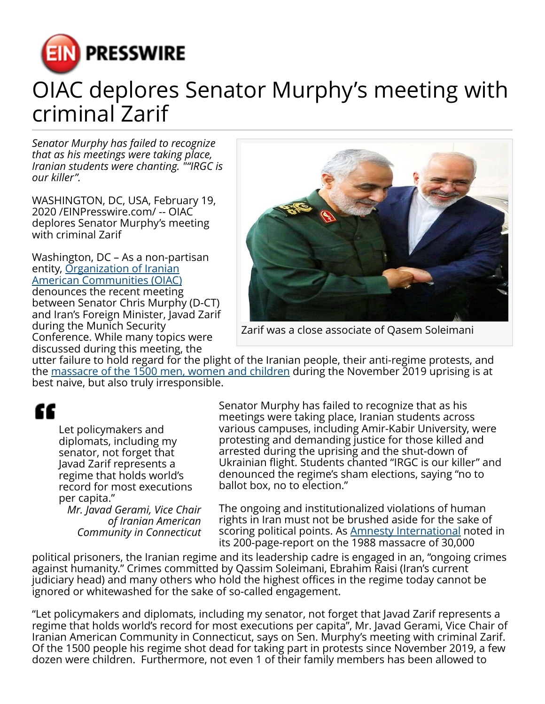

## OIAC deplores Senator Murphy's meeting with criminal Zarif

*Senator Murphy has failed to recognize that as his meetings were taking place, Iranian students were chanting. ""IRGC is our killer".*

WASHINGTON, DC, USA, February 19, 2020 /[EINPresswire.com](http://www.einpresswire.com)/ -- OIAC deplores Senator Murphy's meeting with criminal Zarif

Washington, DC – As a non-partisan entity, [Organization of Iranian](https://oiac.org/holiday-season-luncheon/) [American Communities \(OIAC\)](https://oiac.org/holiday-season-luncheon/) denounces the recent meeting between Senator Chris Murphy (D-CT) and Iran's Foreign Minister, Javad Zarif during the Munich Security Conference. While many topics were discussed during this meeting, the



Zarif was a close associate of Qasem Soleimani

utter failure to hold regard for the plight of the Iranian people, their anti-regime protests, and the [massacre of the 1500 men, women and children](https://oiac.org/the-2020-u-s-presidential-race-and-debates-must-rise-above-politics-on-elimination-of-qassem-soleimani/) during the November 2019 uprising is at best naive, but also truly irresponsible.

## ££

Let policymakers and diplomats, including my senator, not forget that Javad Zarif represents a regime that holds world's record for most executions per capita."

*Mr. Javad Gerami, Vice Chair of Iranian American Community in Connecticut* Senator Murphy has failed to recognize that as his meetings were taking place, Iranian students across various campuses, including Amir-Kabir University, were protesting and demanding justice for those killed and arrested during the uprising and the shut-down of Ukrainian flight. Students chanted "IRGC is our killer" and denounced the regime's sham elections, saying "no to ballot box, no to election."

The ongoing and institutionalized violations of human rights in Iran must not be brushed aside for the sake of scoring political points. As **Amnesty International** noted in its 200-page-report on the 1988 massacre of 30,000

political prisoners, the Iranian regime and its leadership cadre is engaged in an, "ongoing crimes against humanity." Crimes committed by Qassim Soleimani, Ebrahim Raisi (Iran's current judiciary head) and many others who hold the highest offices in the regime today cannot be ignored or whitewashed for the sake of so-called engagement.

"Let policymakers and diplomats, including my senator, not forget that Javad Zarif represents a regime that holds world's record for most executions per capita", Mr. Javad Gerami, Vice Chair of Iranian American Community in Connecticut, says on Sen. Murphy's meeting with criminal Zarif. Of the 1500 people his regime shot dead for taking part in protests since November 2019, a few dozen were children. Furthermore, not even 1 of their family members has been allowed to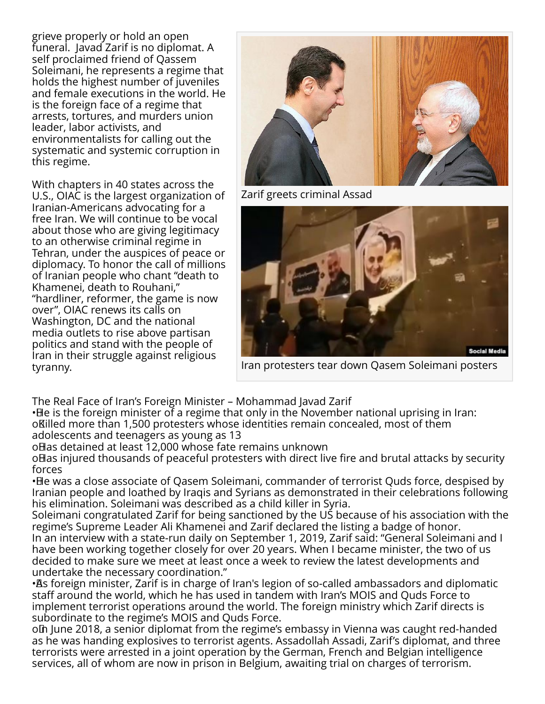grieve properly or hold an open funeral. Javad Zarif is no diplomat. A self proclaimed friend of Qassem Soleimani, he represents a regime that holds the highest number of juveniles and female executions in the world. He is the foreign face of a regime that arrests, tortures, and murders union leader, labor activists, and environmentalists for calling out the systematic and systemic corruption in this regime.

With chapters in 40 states across the U.S., OIAC is the largest organization of Iranian-Americans advocating for a free Iran. We will continue to be vocal about those who are giving legitimacy to an otherwise criminal regime in Tehran, under the auspices of peace or diplomacy. To honor the call of millions of Iranian people who chant "death to Khamenei, death to Rouhani," "hardliner, reformer, the game is now over", OIAC renews its calls on Washington, DC and the national media outlets to rise above partisan politics and stand with the people of Iran in their struggle against religious tyranny.



Zarif greets criminal Assad



Iran protesters tear down Qasem Soleimani posters

The Real Face of Iran's Foreign Minister – Mohammad Javad Zarif

• He is the foreign minister of a regime that only in the November national uprising in Iran: o Killed more than 1,500 protesters whose identities remain concealed, most of them adolescents and teenagers as young as 13

o Has detained at least 12,000 whose fate remains unknown

o Has injured thousands of peaceful protesters with direct live fire and brutal attacks by security forces

• He was a close associate of Qasem Soleimani, commander of terrorist Quds force, despised by Iranian people and loathed by Iraqis and Syrians as demonstrated in their celebrations following his elimination. Soleimani was described as a child killer in Syria.

Soleimani congratulated Zarif for being sanctioned by the US because of his association with the regime's Supreme Leader Ali Khamenei and Zarif declared the listing a badge of honor. In an interview with a state-run daily on September 1, 2019, Zarif said: "General Soleimani and I have been working together closely for over 20 years. When I became minister, the two of us decided to make sure we meet at least once a week to review the latest developments and undertake the necessary coordination."

· As foreign minister, Zarif is in charge of Iran's legion of so-called ambassadors and diplomatic staff around the world, which he has used in tandem with Iran's MOIS and Quds Force to implement terrorist operations around the world. The foreign ministry which Zarif directs is subordinate to the regime's MOIS and Quds Force.

olh June 2018, a senior diplomat from the regime's embassy in Vienna was caught red-handed as he was handing explosives to terrorist agents. Assadollah Assadi, Zarif's diplomat, and three terrorists were arrested in a joint operation by the German, French and Belgian intelligence services, all of whom are now in prison in Belgium, awaiting trial on charges of terrorism.